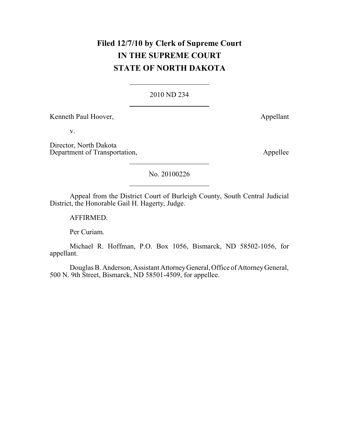## **Filed 12/7/10 by Clerk of Supreme Court IN THE SUPREME COURT STATE OF NORTH DAKOTA**

## 2010 ND 234

Kenneth Paul Hoover, Appellant

v.

Director, North Dakota Department of Transportation, Appellee

No. 20100226

Appeal from the District Court of Burleigh County, South Central Judicial District, the Honorable Gail H. Hagerty, Judge.

AFFIRMED.

Per Curiam.

Michael R. Hoffman, P.O. Box 1056, Bismarck, ND 58502-1056, for appellant.

Douglas B. Anderson, Assistant AttorneyGeneral,Office of AttorneyGeneral, 500 N. 9th Street, Bismarck, ND 58501-4509, for appellee.